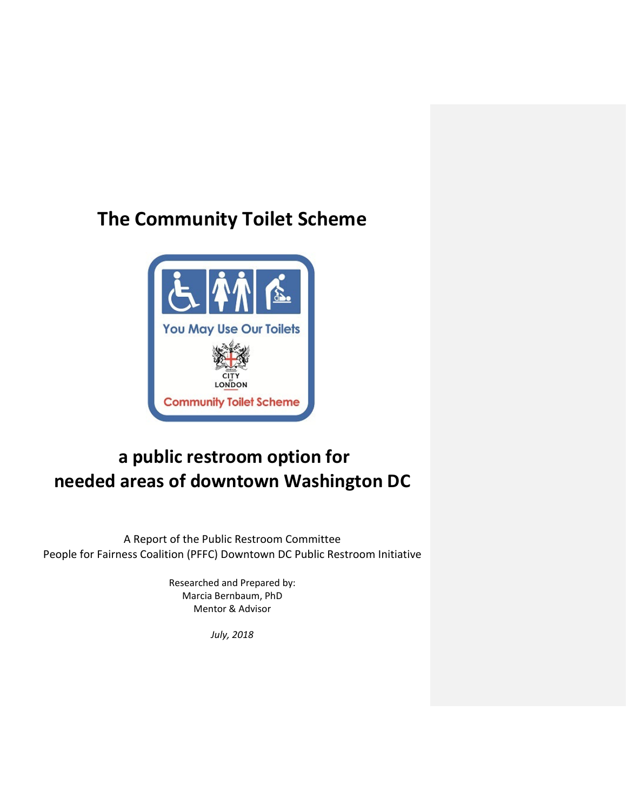# **The Community Toilet Scheme**



# **a public restroom option for needed areas of downtown Washington DC**

A Report of the Public Restroom Committee People for Fairness Coalition (PFFC) Downtown DC Public Restroom Initiative

> Researched and Prepared by: Marcia Bernbaum, PhD Mentor & Advisor

> > *July, 2018*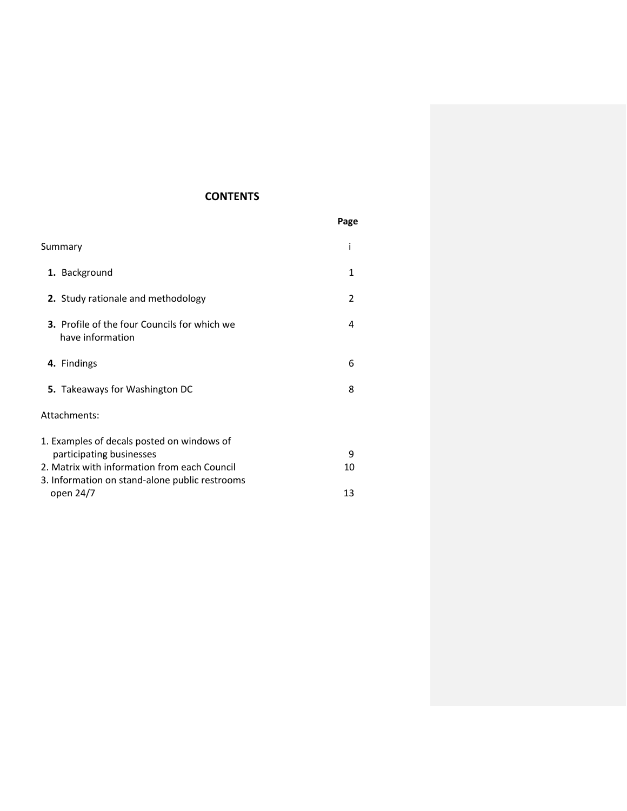# **CONTENTS**

|                                                                                                | Page |
|------------------------------------------------------------------------------------------------|------|
| Summary                                                                                        | i    |
| 1. Background                                                                                  | 1    |
| 2. Study rationale and methodology                                                             | 2    |
| <b>3.</b> Profile of the four Councils for which we<br>have information                        | 4    |
| 4. Findings                                                                                    | 6    |
| <b>5.</b> Takeaways for Washington DC                                                          | 8    |
| Attachments:                                                                                   |      |
| 1. Examples of decals posted on windows of                                                     |      |
| participating businesses                                                                       | 9    |
| 2. Matrix with information from each Council<br>3. Information on stand-alone public restrooms | 10   |
| open 24/7                                                                                      | 13   |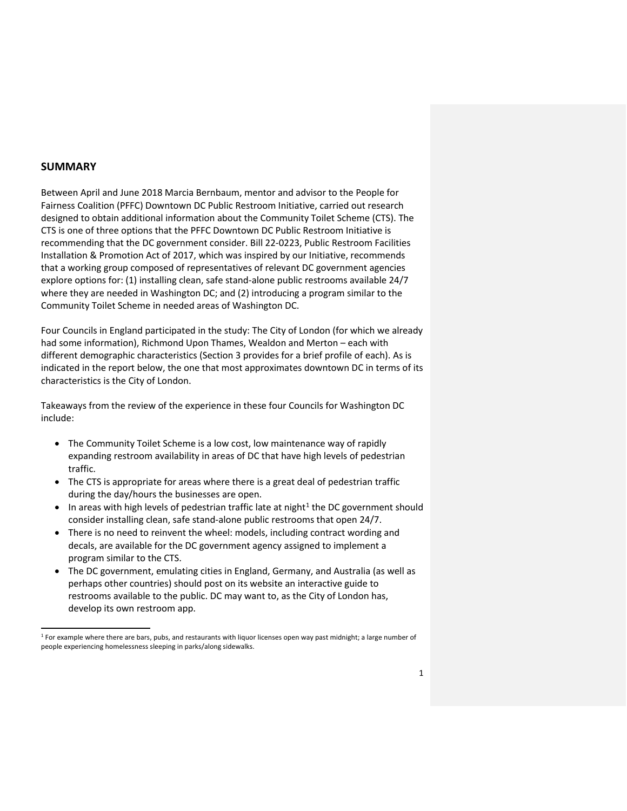#### **SUMMARY**

Between April and June 2018 Marcia Bernbaum, mentor and advisor to the People for Fairness Coalition (PFFC) Downtown DC Public Restroom Initiative, carried out research designed to obtain additional information about the Community Toilet Scheme (CTS). The CTS is one of three options that the PFFC Downtown DC Public Restroom Initiative is recommending that the DC government consider. Bill 22-0223, Public Restroom Facilities Installation & Promotion Act of 2017, which was inspired by our Initiative, recommends that a working group composed of representatives of relevant DC government agencies explore options for: (1) installing clean, safe stand-alone public restrooms available 24/7 where they are needed in Washington DC; and (2) introducing a program similar to the Community Toilet Scheme in needed areas of Washington DC.

Four Councils in England participated in the study: The City of London (for which we already had some information), Richmond Upon Thames, Wealdon and Merton – each with different demographic characteristics (Section 3 provides for a brief profile of each). As is indicated in the report below, the one that most approximates downtown DC in terms of its characteristics is the City of London.

Takeaways from the review of the experience in these four Councils for Washington DC include:

- The Community Toilet Scheme is a low cost, low maintenance way of rapidly expanding restroom availability in areas of DC that have high levels of pedestrian traffic.
- The CTS is appropriate for areas where there is a great deal of pedestrian traffic during the day/hours the businesses are open.
- In areas with high levels of pedestrian traffic late at night<sup>[1](#page-4-0)</sup> the DC government should consider installing clean, safe stand-alone public restrooms that open 24/7.
- There is no need to reinvent the wheel: models, including contract wording and decals, are available for the DC government agency assigned to implement a program similar to the CTS.
- The DC government, emulating cities in England, Germany, and Australia (as well as perhaps other countries) should post on its website an interactive guide to restrooms available to the public. DC may want to, as the City of London has, develop its own restroom app.

<span id="page-4-0"></span> $1$  For example where there are bars, pubs, and restaurants with liquor licenses open way past midnight; a large number of people experiencing homelessness sleeping in parks/along sidewalks.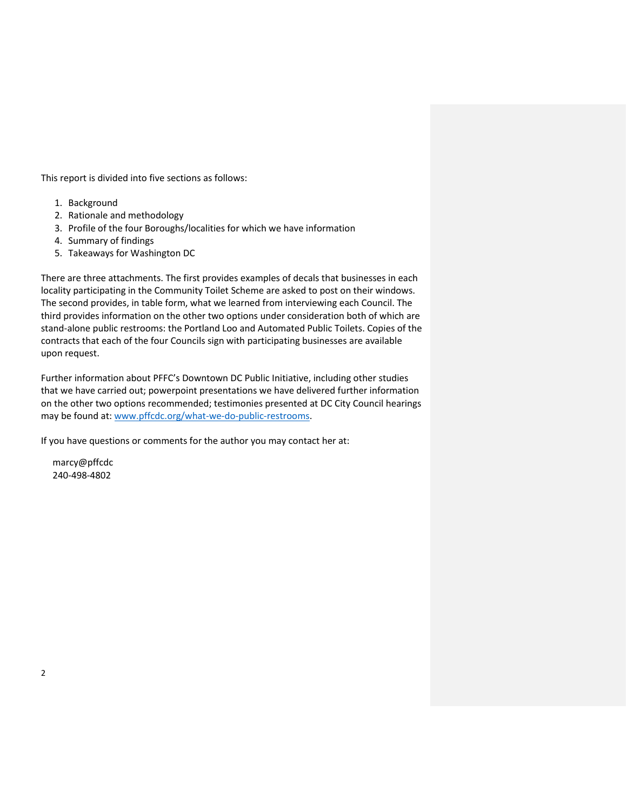This report is divided into five sections as follows:

- 1. Background
- 2. Rationale and methodology
- 3. Profile of the four Boroughs/localities for which we have information
- 4. Summary of findings
- 5. Takeaways for Washington DC

There are three attachments. The first provides examples of decals that businesses in each locality participating in the Community Toilet Scheme are asked to post on their windows. The second provides, in table form, what we learned from interviewing each Council. The third provides information on the other two options under consideration both of which are stand-alone public restrooms: the Portland Loo and Automated Public Toilets. Copies of the contracts that each of the four Councils sign with participating businesses are available upon request.

Further information about PFFC's Downtown DC Public Initiative, including other studies that we have carried out; powerpoint presentations we have delivered further information on the other two options recommended; testimonies presented at DC City Council hearings may be found at: [www.pffcdc.org/what-we-do-public-restrooms.](http://www.pffcdc.org/what-we-do-public-restrooms)

If you have questions or comments for the author you may contact her at:

 marcy@pffcdc 240-498-4802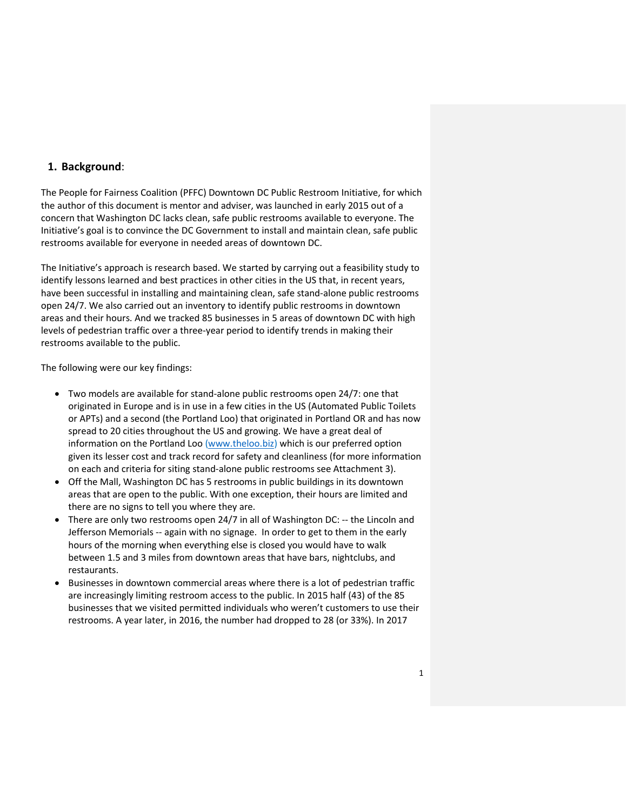#### **1. Background**:

The People for Fairness Coalition (PFFC) Downtown DC Public Restroom Initiative, for which the author of this document is mentor and adviser, was launched in early 2015 out of a concern that Washington DC lacks clean, safe public restrooms available to everyone. The Initiative's goal is to convince the DC Government to install and maintain clean, safe public restrooms available for everyone in needed areas of downtown DC.

The Initiative's approach is research based. We started by carrying out a feasibility study to identify lessons learned and best practices in other cities in the US that, in recent years, have been successful in installing and maintaining clean, safe stand-alone public restrooms open 24/7. We also carried out an inventory to identify public restrooms in downtown areas and their hours. And we tracked 85 businesses in 5 areas of downtown DC with high levels of pedestrian traffic over a three-year period to identify trends in making their restrooms available to the public.

The following were our key findings:

- Two models are available for stand-alone public restrooms open 24/7: one that originated in Europe and is in use in a few cities in the US (Automated Public Toilets or APTs) and a second (the Portland Loo) that originated in Portland OR and has now spread to 20 cities throughout the US and growing. We have a great deal of information on the Portland Loo [\(www.theloo.biz\)](http://www.theloo.biz/) which is our preferred option given its lesser cost and track record for safety and cleanliness (for more information on each and criteria for siting stand-alone public restrooms see Attachment 3).
- Off the Mall, Washington DC has 5 restrooms in public buildings in its downtown areas that are open to the public. With one exception, their hours are limited and there are no signs to tell you where they are.
- There are only two restrooms open 24/7 in all of Washington DC: -- the Lincoln and Jefferson Memorials -- again with no signage. In order to get to them in the early hours of the morning when everything else is closed you would have to walk between 1.5 and 3 miles from downtown areas that have bars, nightclubs, and restaurants.
- Businesses in downtown commercial areas where there is a lot of pedestrian traffic are increasingly limiting restroom access to the public. In 2015 half (43) of the 85 businesses that we visited permitted individuals who weren't customers to use their restrooms. A year later, in 2016, the number had dropped to 28 (or 33%). In 2017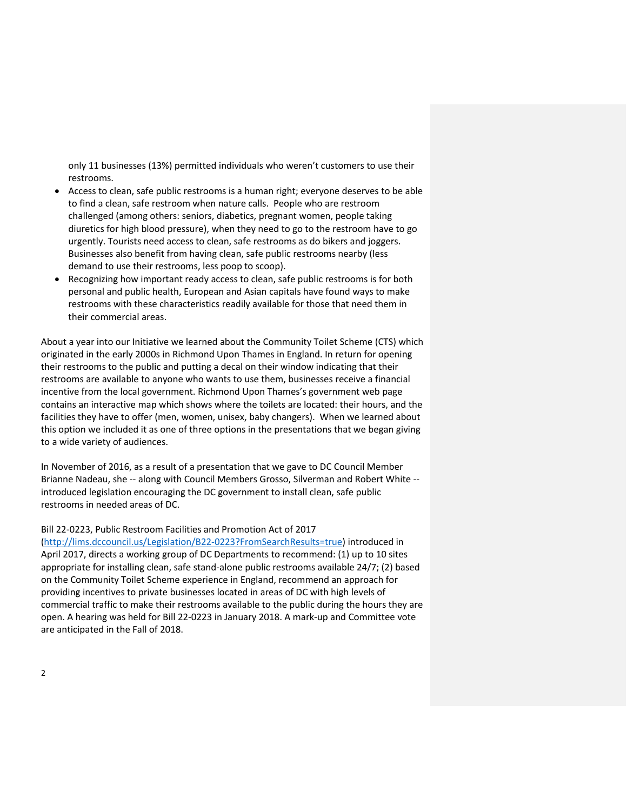only 11 businesses (13%) permitted individuals who weren't customers to use their restrooms.

- Access to clean, safe public restrooms is a human right; everyone deserves to be able to find a clean, safe restroom when nature calls. People who are restroom challenged (among others: seniors, diabetics, pregnant women, people taking diuretics for high blood pressure), when they need to go to the restroom have to go urgently. Tourists need access to clean, safe restrooms as do bikers and joggers. Businesses also benefit from having clean, safe public restrooms nearby (less demand to use their restrooms, less poop to scoop).
- Recognizing how important ready access to clean, safe public restrooms is for both personal and public health, European and Asian capitals have found ways to make restrooms with these characteristics readily available for those that need them in their commercial areas.

About a year into our Initiative we learned about the Community Toilet Scheme (CTS) which originated in the early 2000s in Richmond Upon Thames in England. In return for opening their restrooms to the public and putting a decal on their window indicating that their restrooms are available to anyone who wants to use them, businesses receive a financial incentive from the local government. Richmond Upon Thames's government web page contains an interactive map which shows where the toilets are located: their hours, and the facilities they have to offer (men, women, unisex, baby changers). When we learned about this option we included it as one of three options in the presentations that we began giving to a wide variety of audiences.

In November of 2016, as a result of a presentation that we gave to DC Council Member Brianne Nadeau, she -- along with Council Members Grosso, Silverman and Robert White - introduced legislation encouraging the DC government to install clean, safe public restrooms in needed areas of DC.

#### Bill 22-0223, Public Restroom Facilities and Promotion Act of 2017

[\(http://lims.dccouncil.us/Legislation/B22-0223?FromSearchResults=true\)](http://lims.dccouncil.us/Legislation/B22-0223?FromSearchResults=true) introduced in April 2017, directs a working group of DC Departments to recommend: (1) up to 10 sites appropriate for installing clean, safe stand-alone public restrooms available 24/7; (2) based on the Community Toilet Scheme experience in England, recommend an approach for providing incentives to private businesses located in areas of DC with high levels of commercial traffic to make their restrooms available to the public during the hours they are open. A hearing was held for Bill 22-0223 in January 2018. A mark-up and Committee vote are anticipated in the Fall of 2018.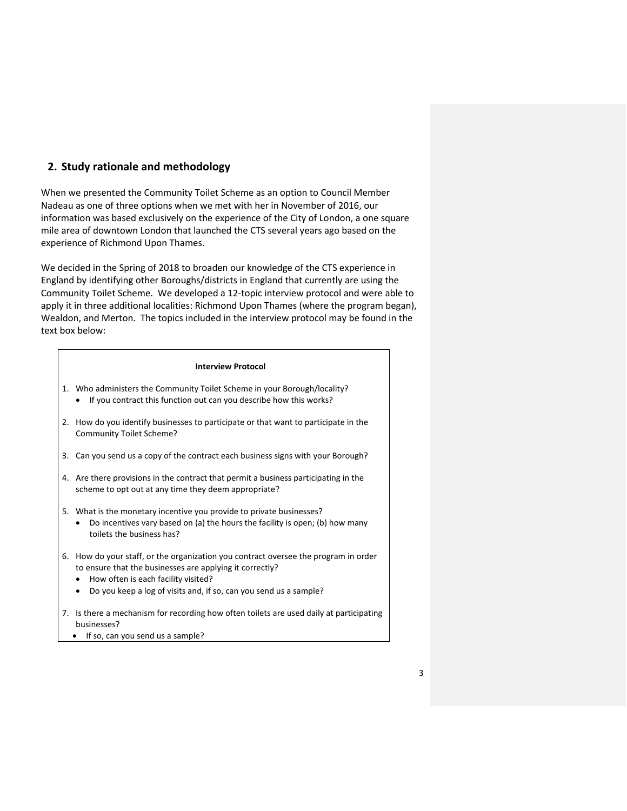# **2. Study rationale and methodology**

When we presented the Community Toilet Scheme as an option to Council Member Nadeau as one of three options when we met with her in November of 2016, our information was based exclusively on the experience of the City of London, a one square mile area of downtown London that launched the CTS several years ago based on the experience of Richmond Upon Thames.

We decided in the Spring of 2018 to broaden our knowledge of the CTS experience in England by identifying other Boroughs/districts in England that currently are using the Community Toilet Scheme. We developed a 12-topic interview protocol and were able to apply it in three additional localities: Richmond Upon Thames (where the program began), Wealdon, and Merton. The topics included in the interview protocol may be found in the text box below:

# **Interview Protocol** 1. Who administers the Community Toilet Scheme in your Borough/locality? • If you contract this function out can you describe how this works? 2. How do you identify businesses to participate or that want to participate in the Community Toilet Scheme? 3. Can you send us a copy of the contract each business signs with your Borough? 4. Are there provisions in the contract that permit a business participating in the scheme to opt out at any time they deem appropriate? 5. What is the monetary incentive you provide to private businesses? • Do incentives vary based on (a) the hours the facility is open; (b) how many toilets the business has? 6. How do your staff, or the organization you contract oversee the program in order to ensure that the businesses are applying it correctly? • How often is each facility visited? • Do you keep a log of visits and, if so, can you send us a sample?

- 7. Is there a mechanism for recording how often toilets are used daily at participating businesses?
	- If so, can you send us a sample?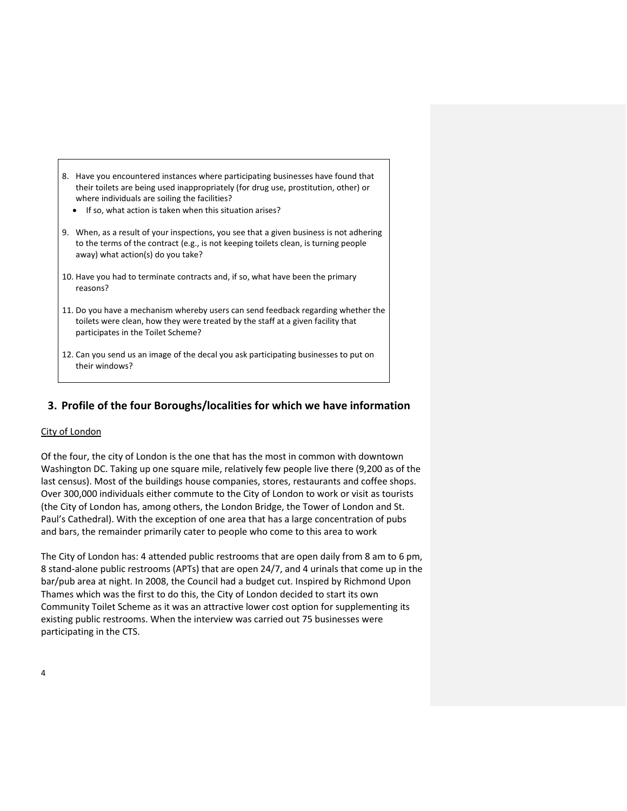- 8. Have you encountered instances where participating businesses have found that their toilets are being used inappropriately (for drug use, prostitution, other) or where individuals are soiling the facilities?
	- If so, what action is taken when this situation arises?
- 9. When, as a result of your inspections, you see that a given business is not adhering to the terms of the contract (e.g., is not keeping toilets clean, is turning people away) what action(s) do you take?
- 10. Have you had to terminate contracts and, if so, what have been the primary reasons?
- 11. Do you have a mechanism whereby users can send feedback regarding whether the toilets were clean, how they were treated by the staff at a given facility that participates in the Toilet Scheme?
- 12. Can you send us an image of the decal you ask participating businesses to put on their windows?

### **3. Profile of the four Boroughs/localities for which we have information**

#### City of London

Of the four, the city of London is the one that has the most in common with downtown Washington DC. Taking up one square mile, relatively few people live there (9,200 as of the last census). Most of the buildings house companies, stores, restaurants and coffee shops. Over 300,000 individuals either commute to the City of London to work or visit as tourists (the City of London has, among others, the London Bridge, the Tower of London and St. Paul's Cathedral). With the exception of one area that has a large concentration of pubs and bars, the remainder primarily cater to people who come to this area to work

The City of London has: 4 attended public restrooms that are open daily from 8 am to 6 pm, 8 stand-alone public restrooms (APTs) that are open 24/7, and 4 urinals that come up in the bar/pub area at night. In 2008, the Council had a budget cut. Inspired by Richmond Upon Thames which was the first to do this, the City of London decided to start its own Community Toilet Scheme as it was an attractive lower cost option for supplementing its existing public restrooms. When the interview was carried out 75 businesses were participating in the CTS.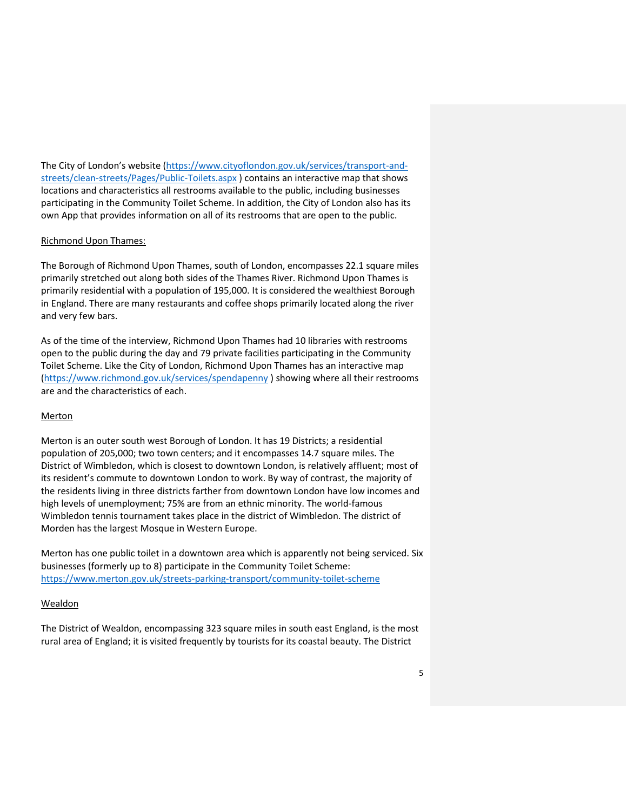The City of London's website [\(https://www.cityoflondon.gov.uk/services/transport-and](https://www.cityoflondon.gov.uk/services/transport-and-streets/clean-streets/Pages/Public-Toilets.aspx)[streets/clean-streets/Pages/Public-Toilets.aspx](https://www.cityoflondon.gov.uk/services/transport-and-streets/clean-streets/Pages/Public-Toilets.aspx) ) contains an interactive map that shows locations and characteristics all restrooms available to the public, including businesses participating in the Community Toilet Scheme. In addition, the City of London also has its own App that provides information on all of its restrooms that are open to the public.

#### Richmond Upon Thames:

The Borough of Richmond Upon Thames, south of London, encompasses 22.1 square miles primarily stretched out along both sides of the Thames River. Richmond Upon Thames is primarily residential with a population of 195,000. It is considered the wealthiest Borough in England. There are many restaurants and coffee shops primarily located along the river and very few bars.

As of the time of the interview, Richmond Upon Thames had 10 libraries with restrooms open to the public during the day and 79 private facilities participating in the Community Toilet Scheme. Like the City of London, Richmond Upon Thames has an interactive map [\(https://www.richmond.gov.uk/services/spendapenny](https://www.richmond.gov.uk/services/spendapenny) ) showing where all their restrooms are and the characteristics of each.

#### Merton

Merton is an outer south west Borough of London. It has 19 Districts; a residential population of 205,000; two town centers; and it encompasses 14.7 square miles. The District of Wimbledon, which is closest to downtown London, is relatively affluent; most of its resident's commute to downtown London to work. By way of contrast, the majority of the residents living in three districts farther from downtown London have low incomes and high levels of unemployment; 75% are from an ethnic minority. The world-famous Wimbledon tennis tournament takes place in the district of Wimbledon. The district of Morden has the largest Mosque in Western Europe.

Merton has one public toilet in a downtown area which is apparently not being serviced. Six businesses (formerly up to 8) participate in the Community Toilet Scheme: <https://www.merton.gov.uk/streets-parking-transport/community-toilet-scheme>

#### Wealdon

The District of Wealdon, encompassing 323 square miles in south east England, is the most rural area of England; it is visited frequently by tourists for its coastal beauty. The District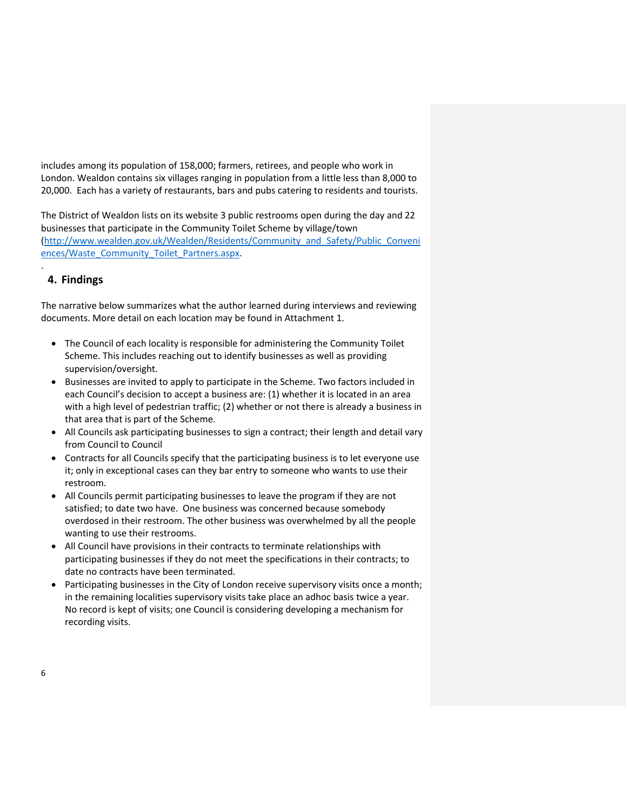includes among its population of 158,000; farmers, retirees, and people who work in London. Wealdon contains six villages ranging in population from a little less than 8,000 to 20,000. Each has a variety of restaurants, bars and pubs catering to residents and tourists.

The District of Wealdon lists on its website 3 public restrooms open during the day and 22 businesses that participate in the Community Toilet Scheme by village/town [\(http://www.wealden.gov.uk/Wealden/Residents/Community\\_and\\_Safety/Public\\_Conveni](http://www.wealden.gov.uk/Wealden/Residents/Community_and_Safety/Public_Conveniences/Waste_Community_Toilet_Partners.aspx) [ences/Waste\\_Community\\_Toilet\\_Partners.aspx.](http://www.wealden.gov.uk/Wealden/Residents/Community_and_Safety/Public_Conveniences/Waste_Community_Toilet_Partners.aspx)

# **4. Findings**

.

The narrative below summarizes what the author learned during interviews and reviewing documents. More detail on each location may be found in Attachment 1.

- The Council of each locality is responsible for administering the Community Toilet Scheme. This includes reaching out to identify businesses as well as providing supervision/oversight.
- Businesses are invited to apply to participate in the Scheme. Two factors included in each Council's decision to accept a business are: (1) whether it is located in an area with a high level of pedestrian traffic; (2) whether or not there is already a business in that area that is part of the Scheme.
- All Councils ask participating businesses to sign a contract; their length and detail vary from Council to Council
- Contracts for all Councils specify that the participating business is to let everyone use it; only in exceptional cases can they bar entry to someone who wants to use their restroom.
- All Councils permit participating businesses to leave the program if they are not satisfied; to date two have. One business was concerned because somebody overdosed in their restroom. The other business was overwhelmed by all the people wanting to use their restrooms.
- All Council have provisions in their contracts to terminate relationships with participating businesses if they do not meet the specifications in their contracts; to date no contracts have been terminated.
- Participating businesses in the City of London receive supervisory visits once a month; in the remaining localities supervisory visits take place an adhoc basis twice a year. No record is kept of visits; one Council is considering developing a mechanism for recording visits.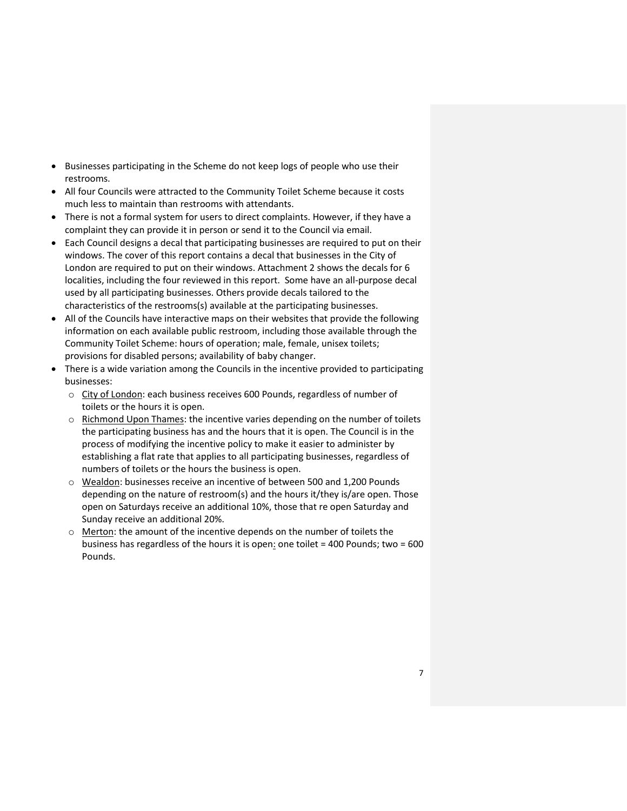- Businesses participating in the Scheme do not keep logs of people who use their restrooms.
- All four Councils were attracted to the Community Toilet Scheme because it costs much less to maintain than restrooms with attendants.
- There is not a formal system for users to direct complaints. However, if they have a complaint they can provide it in person or send it to the Council via email.
- Each Council designs a decal that participating businesses are required to put on their windows. The cover of this report contains a decal that businesses in the City of London are required to put on their windows. Attachment 2 shows the decals for 6 localities, including the four reviewed in this report. Some have an all-purpose decal used by all participating businesses. Others provide decals tailored to the characteristics of the restrooms(s) available at the participating businesses.
- All of the Councils have interactive maps on their websites that provide the following information on each available public restroom, including those available through the Community Toilet Scheme: hours of operation; male, female, unisex toilets; provisions for disabled persons; availability of baby changer.
- There is a wide variation among the Councils in the incentive provided to participating businesses:
	- o City of London: each business receives 600 Pounds, regardless of number of toilets or the hours it is open.
	- $\circ$  Richmond Upon Thames: the incentive varies depending on the number of toilets the participating business has and the hours that it is open. The Council is in the process of modifying the incentive policy to make it easier to administer by establishing a flat rate that applies to all participating businesses, regardless of numbers of toilets or the hours the business is open.
	- o Wealdon: businesses receive an incentive of between 500 and 1,200 Pounds depending on the nature of restroom(s) and the hours it/they is/are open. Those open on Saturdays receive an additional 10%, those that re open Saturday and Sunday receive an additional 20%.
	- o Merton: the amount of the incentive depends on the number of toilets the business has regardless of the hours it is open: one toilet = 400 Pounds; two = 600 Pounds.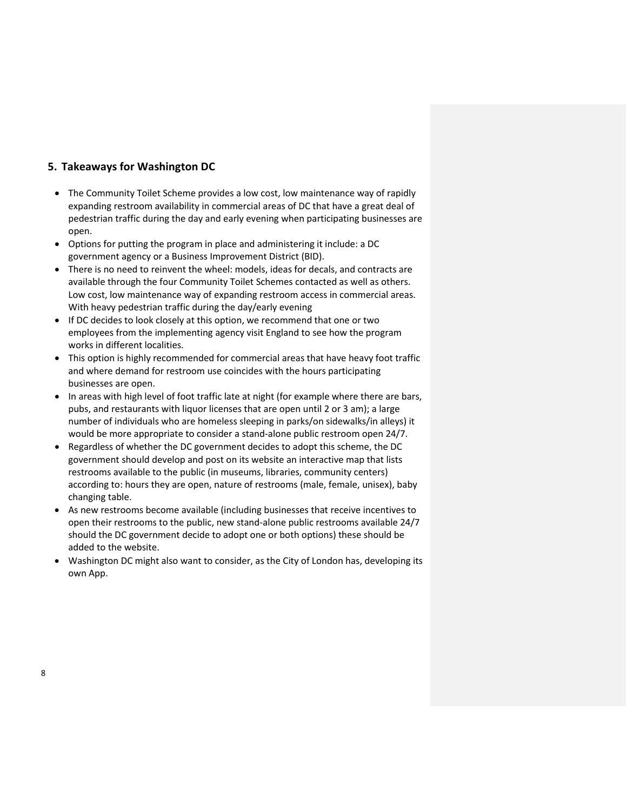## **5. Takeaways for Washington DC**

- The Community Toilet Scheme provides a low cost, low maintenance way of rapidly expanding restroom availability in commercial areas of DC that have a great deal of pedestrian traffic during the day and early evening when participating businesses are open.
- Options for putting the program in place and administering it include: a DC government agency or a Business Improvement District (BID).
- There is no need to reinvent the wheel: models, ideas for decals, and contracts are available through the four Community Toilet Schemes contacted as well as others. Low cost, low maintenance way of expanding restroom access in commercial areas. With heavy pedestrian traffic during the day/early evening
- If DC decides to look closely at this option, we recommend that one or two employees from the implementing agency visit England to see how the program works in different localities.
- This option is highly recommended for commercial areas that have heavy foot traffic and where demand for restroom use coincides with the hours participating businesses are open.
- In areas with high level of foot traffic late at night (for example where there are bars, pubs, and restaurants with liquor licenses that are open until 2 or 3 am); a large number of individuals who are homeless sleeping in parks/on sidewalks/in alleys) it would be more appropriate to consider a stand-alone public restroom open 24/7.
- Regardless of whether the DC government decides to adopt this scheme, the DC government should develop and post on its website an interactive map that lists restrooms available to the public (in museums, libraries, community centers) according to: hours they are open, nature of restrooms (male, female, unisex), baby changing table.
- As new restrooms become available (including businesses that receive incentives to open their restrooms to the public, new stand-alone public restrooms available 24/7 should the DC government decide to adopt one or both options) these should be added to the website.
- Washington DC might also want to consider, as the City of London has, developing its own App.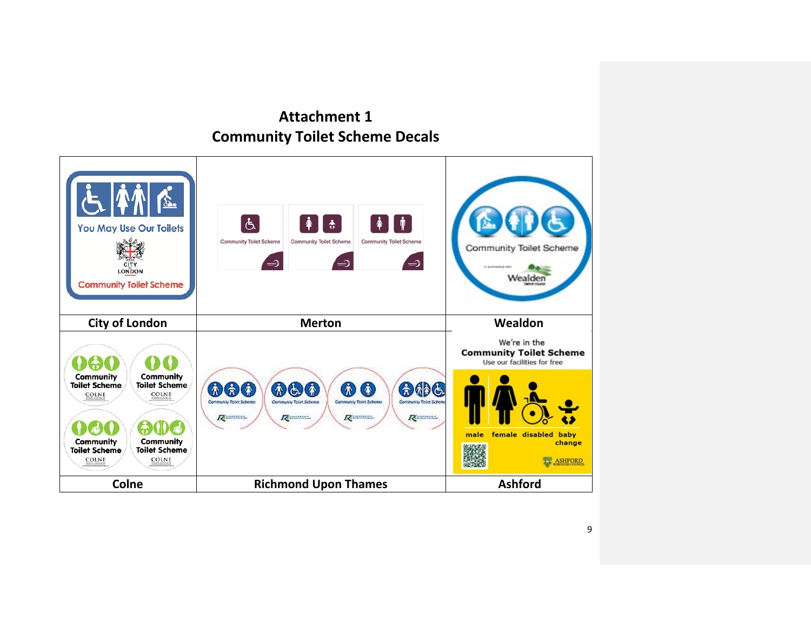# **Attachment 1 Community Toilet Scheme Decals**

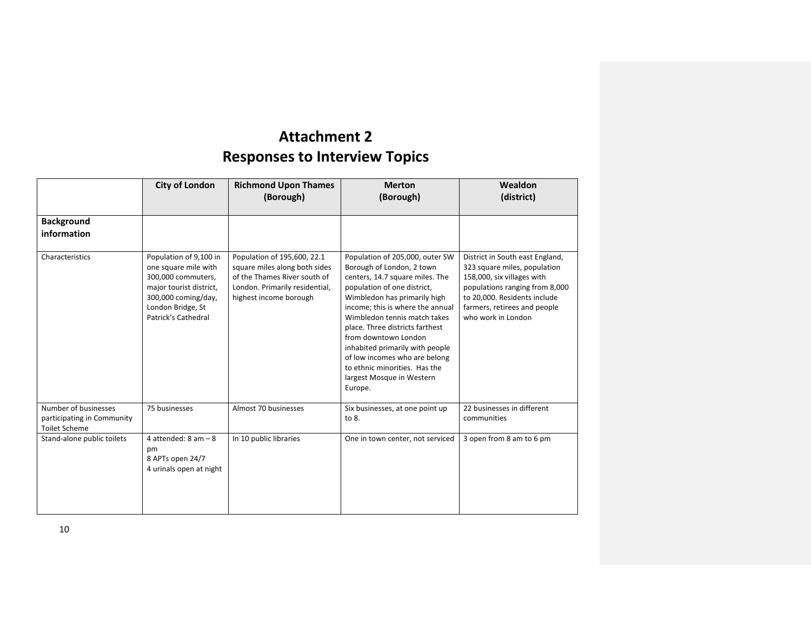# **Attachment 2 Responses to Interview Topics**

|                                                                            | <b>City of London</b>                                                                                                                                              |                                                                                                                                                          | <b>Merton</b><br>(Borough)                                                                                                                                                                                                                                                                                                                                                                                                                 | Wealdon<br>(district)                                                                                                                                                                                                 |
|----------------------------------------------------------------------------|--------------------------------------------------------------------------------------------------------------------------------------------------------------------|----------------------------------------------------------------------------------------------------------------------------------------------------------|--------------------------------------------------------------------------------------------------------------------------------------------------------------------------------------------------------------------------------------------------------------------------------------------------------------------------------------------------------------------------------------------------------------------------------------------|-----------------------------------------------------------------------------------------------------------------------------------------------------------------------------------------------------------------------|
| <b>Background</b><br>information                                           |                                                                                                                                                                    |                                                                                                                                                          |                                                                                                                                                                                                                                                                                                                                                                                                                                            |                                                                                                                                                                                                                       |
| Characteristics                                                            | Population of 9,100 in<br>one square mile with<br>300,000 commuters,<br>major tourist district,<br>300,000 coming/day,<br>London Bridge, St<br>Patrick's Cathedral | Population of 195,600, 22.1<br>square miles along both sides<br>of the Thames River south of<br>London. Primarily residential,<br>highest income borough | Population of 205,000, outer SW<br>Borough of London, 2 town<br>centers, 14.7 square miles. The<br>population of one district,<br>Wimbledon has primarily high<br>income; this is where the annual<br>Wimbledon tennis match takes<br>place. Three districts farthest<br>from downtown London<br>inhabited primarily with people<br>of low incomes who are belong<br>to ethnic minorities. Has the<br>largest Mosque in Western<br>Europe. | District in South east England,<br>323 square miles, population<br>158,000, six villages with<br>populations ranging from 8,000<br>to 20,000. Residents include<br>farmers, retirees and people<br>who work in London |
| Number of businesses<br>participating in Community<br><b>Toilet Scheme</b> | 75 businesses                                                                                                                                                      | Almost 70 businesses                                                                                                                                     | Six businesses, at one point up<br>to 8.                                                                                                                                                                                                                                                                                                                                                                                                   | 22 businesses in different<br>communities                                                                                                                                                                             |
| Stand-alone public toilets                                                 | 4 attended: $8$ am $-8$<br>pm<br>8 APTs open 24/7<br>4 urinals open at night                                                                                       | In 10 public libraries                                                                                                                                   | One in town center, not serviced                                                                                                                                                                                                                                                                                                                                                                                                           | 3 open from 8 am to 6 pm                                                                                                                                                                                              |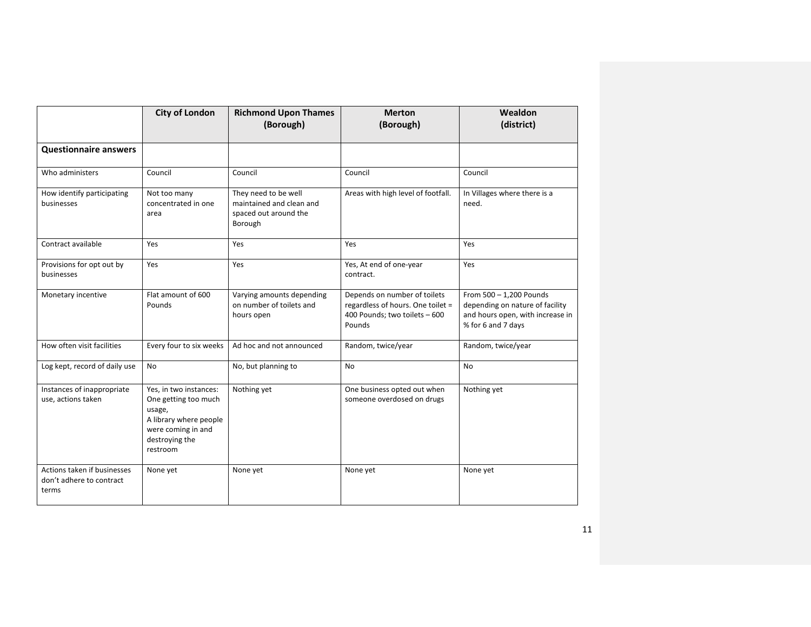|                                                                  | <b>City of London</b>                                                                                                                  | <b>Richmond Upon Thames</b><br><b>Merton</b><br>(Borough)<br>(Borough)               |                                                                                                              | Wealdon<br>(district)                                                                                                |
|------------------------------------------------------------------|----------------------------------------------------------------------------------------------------------------------------------------|--------------------------------------------------------------------------------------|--------------------------------------------------------------------------------------------------------------|----------------------------------------------------------------------------------------------------------------------|
| <b>Questionnaire answers</b>                                     |                                                                                                                                        |                                                                                      |                                                                                                              |                                                                                                                      |
| Who administers                                                  | Council                                                                                                                                | Council                                                                              | Council                                                                                                      | Council                                                                                                              |
| How identify participating<br>businesses                         | Not too many<br>concentrated in one<br>area                                                                                            | They need to be well<br>maintained and clean and<br>spaced out around the<br>Borough | Areas with high level of footfall.                                                                           | In Villages where there is a<br>need.                                                                                |
| Contract available                                               | Yes                                                                                                                                    | Yes                                                                                  | Yes                                                                                                          | Yes                                                                                                                  |
| Provisions for opt out by<br>businesses                          | Yes                                                                                                                                    | Yes                                                                                  | Yes, At end of one-year<br>contract.                                                                         | Yes                                                                                                                  |
| Flat amount of 600<br>Monetary incentive<br>Pounds               |                                                                                                                                        | Varying amounts depending<br>on number of toilets and<br>hours open                  | Depends on number of toilets<br>regardless of hours. One toilet =<br>400 Pounds; two toilets - 600<br>Pounds | From 500 - 1,200 Pounds<br>depending on nature of facility<br>and hours open, with increase in<br>% for 6 and 7 days |
| How often visit facilities                                       | Every four to six weeks                                                                                                                | Ad hoc and not announced                                                             | Random, twice/year                                                                                           | Random, twice/year                                                                                                   |
| Log kept, record of daily use                                    | <b>No</b><br>No, but planning to                                                                                                       |                                                                                      | <b>No</b>                                                                                                    | <b>No</b>                                                                                                            |
| Instances of inappropriate<br>use, actions taken                 | Yes, in two instances:<br>One getting too much<br>usage,<br>A library where people<br>were coming in and<br>destroying the<br>restroom | Nothing yet<br>One business opted out when<br>someone overdosed on drugs             |                                                                                                              | Nothing yet                                                                                                          |
| Actions taken if businesses<br>don't adhere to contract<br>terms | None yet                                                                                                                               | None yet                                                                             | None yet                                                                                                     | None yet                                                                                                             |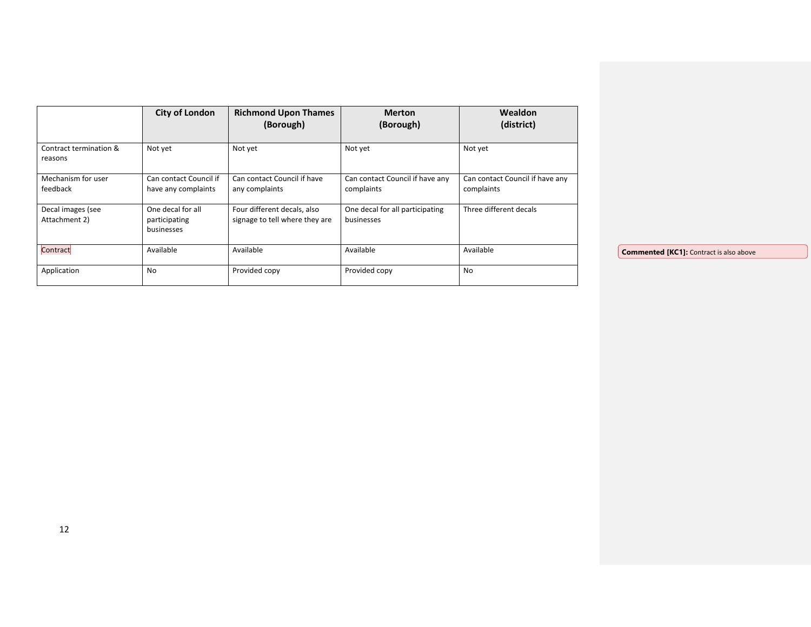|                                    | <b>City of London</b>                            | <b>Richmond Upon Thames</b><br>(Borough)                      | <b>Merton</b><br>(Borough)                    | <b>Wealdon</b><br>(district)                  |                                                |
|------------------------------------|--------------------------------------------------|---------------------------------------------------------------|-----------------------------------------------|-----------------------------------------------|------------------------------------------------|
| Contract termination &<br>reasons  | Not yet                                          | Not yet                                                       | Not yet                                       | Not yet                                       |                                                |
| Mechanism for user<br>feedback     | Can contact Council if<br>have any complaints    | Can contact Council if have<br>any complaints                 | Can contact Council if have any<br>complaints | Can contact Council if have any<br>complaints |                                                |
| Decal images (see<br>Attachment 2) | One decal for all<br>participating<br>businesses | Four different decals, also<br>signage to tell where they are | One decal for all participating<br>businesses | Three different decals                        |                                                |
| Contract                           | Available                                        | Available                                                     | Available                                     | Available                                     | <b>Commented [KC1]:</b> Contract is also above |
| Application                        | No                                               | Provided copy                                                 | Provided copy                                 | No                                            |                                                |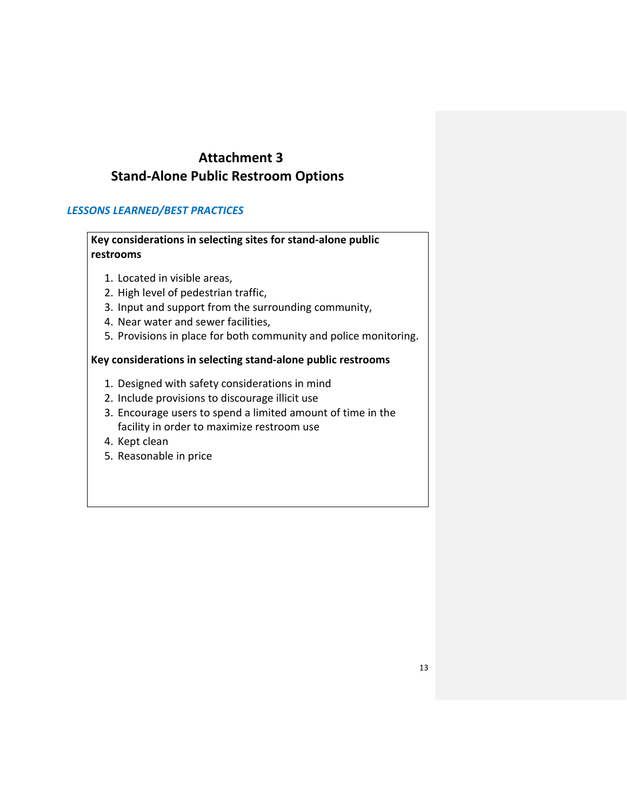# **Attachment 3 Stand-Alone Public Restroom Options**

## *LESSONS LEARNED/BEST PRACTICES*

# **Key considerations in selecting sites for stand-alone public restrooms**

- 1. Located in visible areas,
- 2. High level of pedestrian traffic,
- 3. Input and support from the surrounding community,
- 4. Near water and sewer facilities,
- 5. Provisions in place for both community and police monitoring.

## **Key considerations in selecting stand-alone public restrooms**

- 1. Designed with safety considerations in mind
- 2. Include provisions to discourage illicit use
- 3. Encourage users to spend a limited amount of time in the facility in order to maximize restroom use
- 4. Kept clean
- 5. Reasonable in price